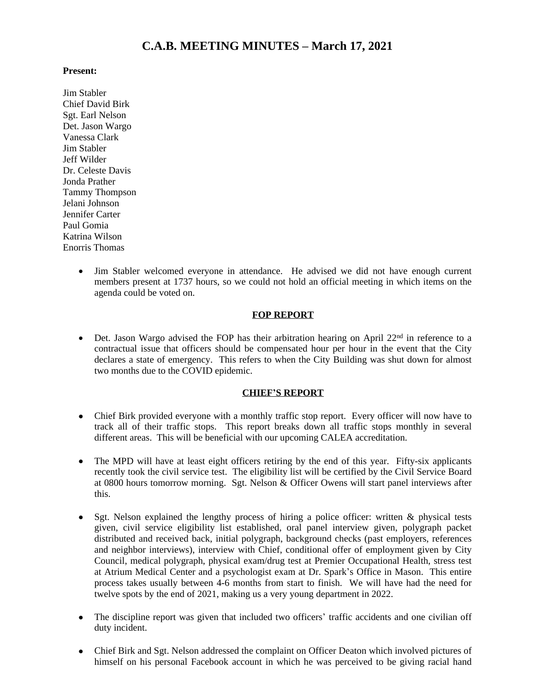# **C.A.B. MEETING MINUTES – March 17, 2021**

### **Present:**

Jim Stabler Chief David Birk Sgt. Earl Nelson Det. Jason Wargo Vanessa Clark Jim Stabler Jeff Wilder Dr. Celeste Davis Jonda Prather Tammy Thompson Jelani Johnson Jennifer Carter Paul Gomia Katrina Wilson Enorris Thomas

> Jim Stabler welcomed everyone in attendance. He advised we did not have enough current members present at 1737 hours, so we could not hold an official meeting in which items on the agenda could be voted on.

## **FOP REPORT**

 $\bullet$  Det. Jason Wargo advised the FOP has their arbitration hearing on April 22<sup>nd</sup> in reference to a contractual issue that officers should be compensated hour per hour in the event that the City declares a state of emergency. This refers to when the City Building was shut down for almost two months due to the COVID epidemic.

### **CHIEF'S REPORT**

- Chief Birk provided everyone with a monthly traffic stop report. Every officer will now have to track all of their traffic stops. This report breaks down all traffic stops monthly in several different areas. This will be beneficial with our upcoming CALEA accreditation.
- The MPD will have at least eight officers retiring by the end of this year. Fifty-six applicants recently took the civil service test. The eligibility list will be certified by the Civil Service Board at 0800 hours tomorrow morning. Sgt. Nelson & Officer Owens will start panel interviews after this.
- Sgt. Nelson explained the lengthy process of hiring a police officer: written & physical tests given, civil service eligibility list established, oral panel interview given, polygraph packet distributed and received back, initial polygraph, background checks (past employers, references and neighbor interviews), interview with Chief, conditional offer of employment given by City Council, medical polygraph, physical exam/drug test at Premier Occupational Health, stress test at Atrium Medical Center and a psychologist exam at Dr. Spark's Office in Mason. This entire process takes usually between 4-6 months from start to finish. We will have had the need for twelve spots by the end of 2021, making us a very young department in 2022.
- The discipline report was given that included two officers' traffic accidents and one civilian off duty incident.
- Chief Birk and Sgt. Nelson addressed the complaint on Officer Deaton which involved pictures of himself on his personal Facebook account in which he was perceived to be giving racial hand